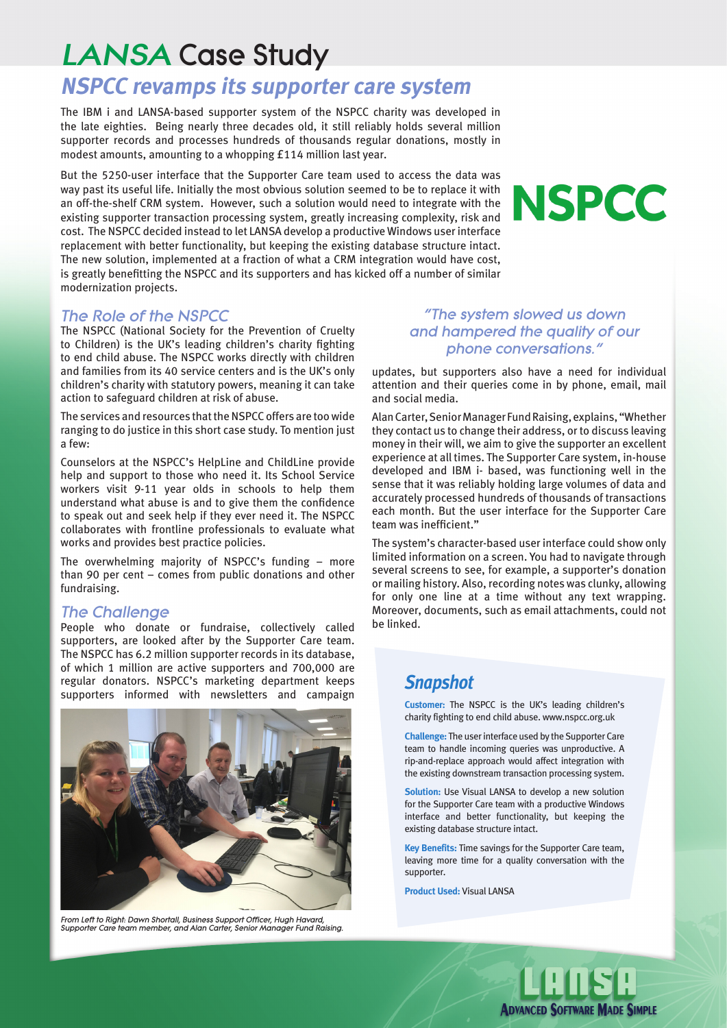# LANSA Case Study

## **NSPCC revamps its supporter care system**

The IBM i and LANSA-based supporter system of the NSPCC charity was developed in the late eighties. Being nearly three decades old, it still reliably holds several million supporter records and processes hundreds of thousands regular donations, mostly in modest amounts, amounting to a whopping £114 million last year.

But the 5250-user interface that the Supporter Care team used to access the data was way past its useful life. Initially the most obvious solution seemed to be to replace it with an off-the-shelf CRM system. However, such a solution would need to integrate with the existing supporter transaction processing system, greatly increasing complexity, risk and cost. The NSPCC decided instead to let LANSA develop a productive Windows user interface replacement with better functionality, but keeping the existing database structure intact. The new solution, implemented at a fraction of what a CRM integration would have cost, is greatly benefitting the NSPCC and its supporters and has kicked off a number of similar modernization projects.

#### The Role of the NSPCC

The NSPCC (National Society for the Prevention of Cruelty to Children) is the UK's leading children's charity fighting to end child abuse. The NSPCC works directly with children and families from its 40 service centers and is the UK's only children's charity with statutory powers, meaning it can take action to safeguard children at risk of abuse.

The services and resources that the NSPCC offers are too wide ranging to do justice in this short case study. To mention just a few:

Counselors at the NSPCC's HelpLine and ChildLine provide help and support to those who need it. Its School Service workers visit 9-11 year olds in schools to help them understand what abuse is and to give them the confidence to speak out and seek help if they ever need it. The NSPCC collaborates with frontline professionals to evaluate what works and provides best practice policies.

The overwhelming majority of NSPCC's funding – more than 90 per cent – comes from public donations and other fundraising.

#### The Challenge

People who donate or fundraise, collectively called supporters, are looked after by the Supporter Care team. The NSPCC has 6.2 million supporter records in its database, of which 1 million are active supporters and 700,000 are regular donators. NSPCC's marketing department keeps supporters informed with newsletters and campaign



From Left to Right: Dawn Shortall, Business Support Officer, Hugh Havard, Supporter Care team member, and Alan Carter, Senior Manager Fund Raising.

#### "The system slowed us down and hampered the quality of our phone conversations."

updates, but supporters also have a need for individual attention and their queries come in by phone, email, mail and social media.

Alan Carter, Senior Manager Fund Raising, explains, "Whether they contact us to change their address, or to discuss leaving money in their will, we aim to give the supporter an excellent experience at all times. The Supporter Care system, in-house developed and IBM i- based, was functioning well in the sense that it was reliably holding large volumes of data and accurately processed hundreds of thousands of transactions each month. But the user interface for the Supporter Care team was inefficient."

The system's character-based user interface could show only limited information on a screen. You had to navigate through several screens to see, for example, a supporter's donation or mailing history. Also, recording notes was clunky, allowing for only one line at a time without any text wrapping. Moreover, documents, such as email attachments, could not be linked.

### *Snapshot*

**Customer:** The NSPCC is the UK's leading children's charity fighting to end child abuse. www.nspcc.org.uk

**Challenge:** The user interface used by the Supporter Care team to handle incoming queries was unproductive. A rip-and-replace approach would affect integration with the existing downstream transaction processing system.

**Solution:** Use Visual LANSA to develop a new solution for the Supporter Care team with a productive Windows interface and better functionality, but keeping the existing database structure intact.

**Key Benefits:** Time savings for the Supporter Care team, leaving more time for a quality conversation with the supporter.

**Product Used:** Visual LANSA